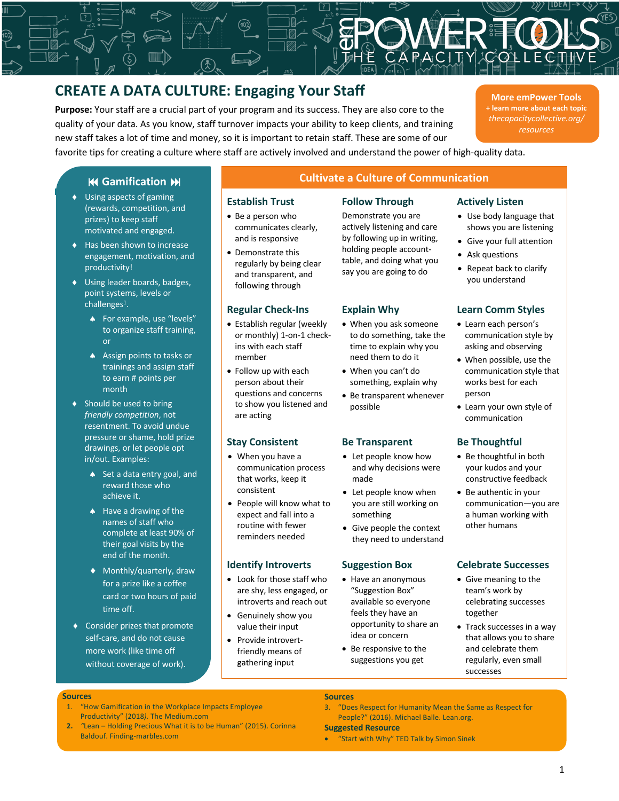# **CREATE A DATA CULTURE: Engaging Your Staff**

**Purpose:** Your staff are a crucial part of your program and its success. They are also core to the quality of your data. As you know, staff turnover impacts your ability to keep clients, and training new staff takes a lot of time and money, so it is important to retain staff. These are some of our favorite tips for creating a culture where staff are actively involved and understand the power of high-quality data.

**More emPower Tools + learn more about each topic** *thecapacitycollective.org/ resources*

## **K4 Gamification M**

- $\bullet$  Using aspects of gaming (rewards, competition, and prizes) to keep staff motivated and engaged.
- $\blacklozenge$  Has been shown to increase engagement, motivation, and productivity!
- ◆ Using leader boards, badges, point systems, levels or challenges1.
	- **•** For example, use "levels" to organize staff training, or
	- Assign points to tasks or trainings and assign staff to earn # points per month
- $\triangleleft$  Should be used to bring *friendly competition*, not resentment. To avoid undue pressure or shame, hold prize drawings, or let people opt in/out. Examples:
	- Set a data entry goal, and reward those who achieve it.
	- $\triangle$  Have a drawing of the names of staff who complete at least 90% of their goal visits by the end of the month.
	- ◆ Monthly/quarterly, draw for a prize like a coffee card or two hours of paid time off.
- $\triangleleft$  Consider prizes that promote self-care, and do not cause more work (like time off without coverage of work).

# **Cultivate a Culture of Communication**

Demonstrate you are actively listening and care by following up in writing, holding people accounttable, and doing what you say you are going to do

- Be a person who communicates clearly, and is responsive
- Demonstrate this regularly by being clear and transparent, and following through

- Establish regular (weekly or monthly) 1-on-1 checkins with each staff member
- Follow up with each person about their questions and concerns to show you listened and are acting

- When you have a communication process that works, keep it consistent
- People will know what to expect and fall into a routine with fewer reminders needed

- Look for those staff who are shy, less engaged, or introverts and reach out
- Genuinely show you value their input
- Provide introvertfriendly means of gathering input

- When you ask someone to do something, take the time to explain why you need them to do it
- When you can't do something, explain why
- Be transparent whenever possible

### **Stay Consistent Be Transparent Be Thoughtful**

- Let people know how and why decisions were made
- Let people know when you are still working on something
- Give people the context they need to understand

- Have an anonymous "Suggestion Box" available so everyone feels they have an opportunity to share an idea or concern
- Be responsive to the suggestions you get

### **Establish Trust Follow Through Actively Listen**

- Use body language that shows you are listening
- Give your full attention
- Ask questions
- Repeat back to clarify you understand

### **Regular Check-Ins Explain Why Learn Comm Styles**

- Learn each person's communication style by asking and observing
- When possible, use the communication style that works best for each person
- Learn your own style of communication

- Be thoughtful in both your kudos and your constructive feedback
- Be authentic in your communication—you are a human working with other humans

### **Identify Introverts Suggestion Box Celebrate Successes**

- Give meaning to the team's work by celebrating successes together
- Track successes in a way that allows you to share and celebrate them regularly, even small successes

### **Sources**

- 1. "How Gamification in the Workplace Impacts Employee Productivity" (2018*).* The Medium.com
- **2.** *"*Lean Holding Precious What it is to be Human" (2015). Corinna Baldouf. Finding-marbles.com

# **Sources**

3. "Does Respect for Humanity Mean the Same as Respect for People?" (2016). Michael Balle. Lean.org.

### **Suggested Resource**

• "Start with Why" TED Talk by Simon Sinek